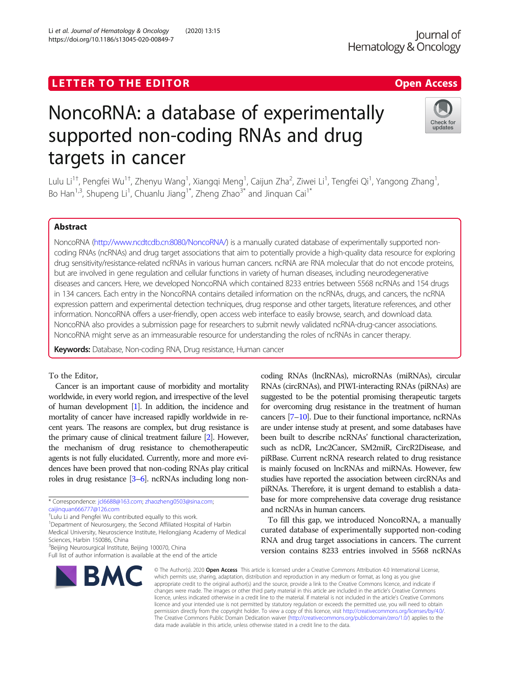# LETTER TO THE EDITOR **CONSIDERING ACCESS** Open Access

# NoncoRNA: a database of experimentally supported non-coding RNAs and drug targets in cancer

Li et al. Journal of Hematology & Oncology (2020) 13:15 https://doi.org/10.1186/s13045-020-00849-7

Lulu Li<sup>1†</sup>, Pengfei Wu<sup>1†</sup>, Zhenyu Wang<sup>1</sup>, Xiangqi Meng<sup>1</sup>, Caijun Zha<sup>2</sup>, Ziwei Li<sup>1</sup>, Tengfei Qi<sup>1</sup>, Yangong Zhang<sup>1</sup> , Bo Han<sup>1,3</sup>, Shupeng Li<sup>1</sup>, Chuanlu Jiang<sup>1\*</sup>, Zheng Zhao<sup>3\*</sup> and Jinquan Cai<sup>1\*</sup>

# Abstract

NoncoRNA [\(http://www.ncdtcdb.cn:8080/NoncoRNA/](http://www.ncdtcdb.cn:8080/NoncoRNA/)) is a manually curated database of experimentally supported noncoding RNAs (ncRNAs) and drug target associations that aim to potentially provide a high-quality data resource for exploring drug sensitivity/resistance-related ncRNAs in various human cancers. ncRNA are RNA molecular that do not encode proteins, but are involved in gene regulation and cellular functions in variety of human diseases, including neurodegenerative diseases and cancers. Here, we developed NoncoRNA which contained 8233 entries between 5568 ncRNAs and 154 drugs in 134 cancers. Each entry in the NoncoRNA contains detailed information on the ncRNAs, drugs, and cancers, the ncRNA expression pattern and experimental detection techniques, drug response and other targets, literature references, and other information. NoncoRNA offers a user-friendly, open access web interface to easily browse, search, and download data. NoncoRNA also provides a submission page for researchers to submit newly validated ncRNA-drug-cancer associations. NoncoRNA might serve as an immeasurable resource for understanding the roles of ncRNAs in cancer therapy.

Keywords: Database, Non-coding RNA, Drug resistance, Human cancer

## To the Editor,

Cancer is an important cause of morbidity and mortality worldwide, in every world region, and irrespective of the level of human development [\[1\]](#page-3-0). In addition, the incidence and mortality of cancer have increased rapidly worldwide in recent years. The reasons are complex, but drug resistance is the primary cause of clinical treatment failure [\[2\]](#page-3-0). However, the mechanism of drug resistance to chemotherapeutic agents is not fully elucidated. Currently, more and more evidences have been proved that non-coding RNAs play critical roles in drug resistance [\[3](#page-3-0)–[6\]](#page-3-0). ncRNAs including long non-

\* Correspondence: [jcl6688@163.com](mailto:jcl6688@163.com); [zhaozheng0503@sina.com;](mailto:zhaozheng0503@sina.com) [caijinquan666777@126.com](mailto:caijinquan666777@126.com)

† Lulu Li and Pengfei Wu contributed equally to this work.

<sup>1</sup>Department of Neurosurgery, the Second Affiliated Hospital of Harbin

Medical University, Neuroscience Institute, Heilongjiang Academy of Medical

Full list of author information is available at the end of the article

# Sciences, Harbin 150086, China <sup>3</sup>Beijing Neurosurgical Institute, Beijing 100070, China



coding RNAs (lncRNAs), microRNAs (miRNAs), circular RNAs (circRNAs), and PIWI-interacting RNAs (piRNAs) are suggested to be the potential promising therapeutic targets for overcoming drug resistance in the treatment of human cancers [\[7](#page-3-0)–[10](#page-3-0)]. Due to their functional importance, ncRNAs are under intense study at present, and some databases have been built to describe ncRNAs' functional characterization, such as ncDR, Lnc2Cancer, SM2miR, CircR2Disease, and piRBase. Current ncRNA research related to drug resistance is mainly focused on lncRNAs and miRNAs. However, few studies have reported the association between circRNAs and piRNAs. Therefore, it is urgent demand to establish a database for more comprehensive data coverage drug resistance and ncRNAs in human cancers.

To fill this gap, we introduced NoncoRNA, a manually curated database of experimentally supported non-coding RNA and drug target associations in cancers. The current version contains 8233 entries involved in 5568 ncRNAs

© The Author(s), 2020 **Open Access** This article is licensed under a Creative Commons Attribution 4.0 International License which permits use, sharing, adaptation, distribution and reproduction in any medium or format, as long as you give appropriate credit to the original author(s) and the source, provide a link to the Creative Commons licence, and indicate if changes were made. The images or other third party material in this article are included in the article's Creative Commons licence, unless indicated otherwise in a credit line to the material. If material is not included in the article's Creative Commons licence and your intended use is not permitted by statutory regulation or exceeds the permitted use, you will need to obtain permission directly from the copyright holder. To view a copy of this licence, visit [http://creativecommons.org/licenses/by/4.0/.](http://creativecommons.org/licenses/by/4.0/) The Creative Commons Public Domain Dedication waiver [\(http://creativecommons.org/publicdomain/zero/1.0/](http://creativecommons.org/publicdomain/zero/1.0/)) applies to the data made available in this article, unless otherwise stated in a credit line to the data.



updates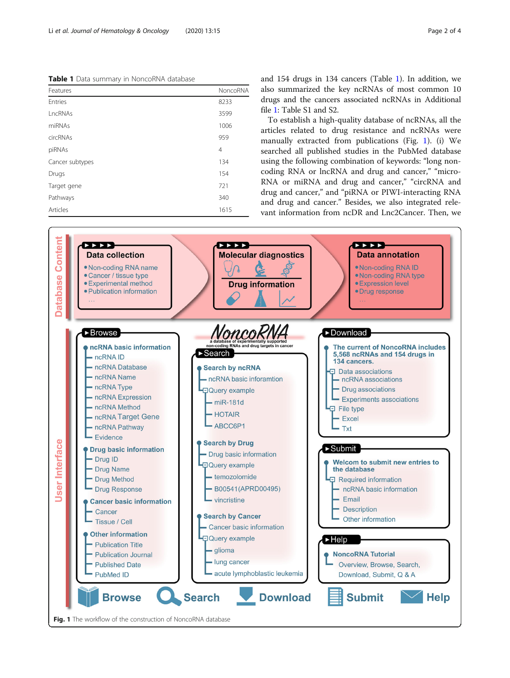<span id="page-1-0"></span>Table 1 Data summary in NoncoRNA database

| Features        | NoncoRNA       |
|-----------------|----------------|
| Entries         | 8233           |
| LncRNAs         | 3599           |
| miRNAs          | 1006           |
| circRNAs        | 959            |
| piRNAs          | $\overline{4}$ |
| Cancer subtypes | 134            |
| Drugs           | 154            |
| Target gene     | 721            |
| Pathways        | 340            |
| Articles        | 1615           |

and 154 drugs in 134 cancers (Table 1). In addition, we also summarized the key ncRNAs of most common 10 drugs and the cancers associated ncRNAs in Additional file [1](#page-2-0): Table S1 and S2.

To establish a high-quality database of ncRNAs, all the articles related to drug resistance and ncRNAs were manually extracted from publications (Fig. 1). (i) We searched all published studies in the PubMed database using the following combination of keywords: "long noncoding RNA or lncRNA and drug and cancer," "micro-RNA or miRNA and drug and cancer," "circRNA and drug and cancer," and "piRNA or PIWI-interacting RNA and drug and cancer." Besides, we also integrated relevant information from ncDR and Lnc2Cancer. Then, we

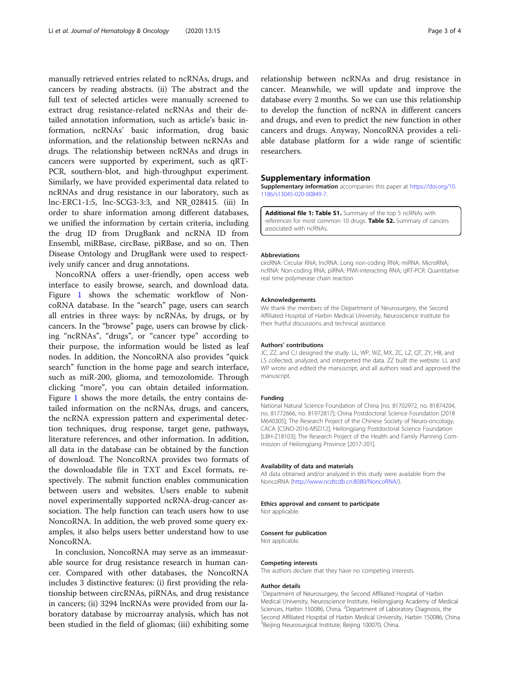<span id="page-2-0"></span>manually retrieved entries related to ncRNAs, drugs, and cancers by reading abstracts. (ii) The abstract and the full text of selected articles were manually screened to extract drug resistance-related ncRNAs and their detailed annotation information, such as article's basic information, ncRNAs' basic information, drug basic information, and the relationship between ncRNAs and drugs. The relationship between ncRNAs and drugs in cancers were supported by experiment, such as qRT-PCR, southern-blot, and high-throughput experiment. Similarly, we have provided experimental data related to ncRNAs and drug resistance in our laboratory, such as lnc-ERC1-1:5, lnc-SCG3-3:3, and NR\_028415. (iii) In order to share information among different databases, we unified the information by certain criteria, including the drug ID from DrugBank and ncRNA ID from Ensembl, miRBase, circBase, piRBase, and so on. Then Disease Ontology and DrugBank were used to respectively unify cancer and drug annotations.

NoncoRNA offers a user-friendly, open access web interface to easily browse, search, and download data. Figure [1](#page-1-0) shows the schematic workflow of NoncoRNA database. In the "search" page, users can search all entries in three ways: by ncRNAs, by drugs, or by cancers. In the "browse" page, users can browse by clicking "ncRNAs", "drugs", or "cancer type" according to their purpose, the information would be listed as leaf nodes. In addition, the NoncoRNA also provides "quick search" function in the home page and search interface, such as miR-200, glioma, and temozolomide. Through clicking "more", you can obtain detailed information. Figure [1](#page-1-0) shows the more details, the entry contains detailed information on the ncRNAs, drugs, and cancers, the ncRNA expression pattern and experimental detection techniques, drug response, target gene, pathways, literature references, and other information. In addition, all data in the database can be obtained by the function of download. The NoncoRNA provides two formats of the downloadable file in TXT and Excel formats, respectively. The submit function enables communication between users and websites. Users enable to submit novel experimentally supported ncRNA-drug-cancer association. The help function can teach users how to use NoncoRNA. In addition, the web proved some query examples, it also helps users better understand how to use NoncoRNA.

In conclusion, NoncoRNA may serve as an immeasurable source for drug resistance research in human cancer. Compared with other databases, the NoncoRNA includes 3 distinctive features: (i) first providing the relationship between circRNAs, piRNAs, and drug resistance in cancers; (ii) 3294 lncRNAs were provided from our laboratory database by microarray analysis, which has not been studied in the field of gliomas; (iii) exhibiting some relationship between ncRNAs and drug resistance in cancer. Meanwhile, we will update and improve the database every 2 months. So we can use this relationship to develop the function of ncRNA in different cancers and drugs, and even to predict the new function in other cancers and drugs. Anyway, NoncoRNA provides a reliable database platform for a wide range of scientific researchers.

#### Supplementary information

Supplementary information accompanies this paper at [https://doi.org/10.](https://doi.org/10.1186/s13045-020-00849-7) [1186/s13045-020-00849-7](https://doi.org/10.1186/s13045-020-00849-7).

Additional file 1: Table S1. Summary of the top 5 ncRNAs with references for most common 10 drugs. Table S2. Summary of cancers associated with ncRNAs.

#### Abbreviations

circRNA: Circular RNA; lncRNA: Long non-coding RNA; miRNA: MicroRNA; ncRNA: Non-coding RNA; piRNA: PIWI-interacting RNA; qRT-PCR: Quantitative real time polymerase chain reaction

#### Acknowledgements

We thank the members of the Department of Neurosurgery, the Second Affiliated Hospital of Harbin Medical University, Neuroscience Institute for their fruitful discussions and technical assistance.

#### Authors' contributions

JC, ZZ, and CJ designed the study. LL, WP, WZ, MX, ZC, LZ, QT, ZY, HB, and LS collected, analyzed, and interpreted the data. ZZ built the website. LL and WP wrote and edited the manuscript, and all authors read and approved the manuscript.

#### Funding

National Natural Science Foundation of China [no. 81702972, no. 81874204, no. 81772666, no. 81972817]; China Postdoctoral Science Foundation [2018 M640305]; The Research Project of the Chinese Society of Neuro-oncology, CACA [CSNO-2016-MSD12]; Heilongjiang Postdoctoral Science Foundation [LBH-Z18103]; The Research Project of the Health and Family Planning Commission of Heilongjiang Province [2017-201].

#### Availability of data and materials

All data obtained and/or analyzed in this study were available from the NoncoRNA ([http://www.ncdtcdb.cn:8080/NoncoRNA/\)](http://www.ncdtcdb.cn:8080/NoncoRNA/).

#### Ethics approval and consent to participate

Not applicable.

#### Consent for publication

Not applicable.

#### Competing interests

The authors declare that they have no competing interests.

#### Author details

<sup>1</sup>Department of Neurosurgery, the Second Affiliated Hospital of Harbin Medical University, Neuroscience Institute, Heilongjiang Academy of Medical Sciences, Harbin 150086, China. <sup>2</sup>Department of Laboratory Diagnosis, the Second Affiliated Hospital of Harbin Medical University, Harbin 150086, China. <sup>3</sup>Beijing Neurosurgical Institute, Beijing 100070, China.